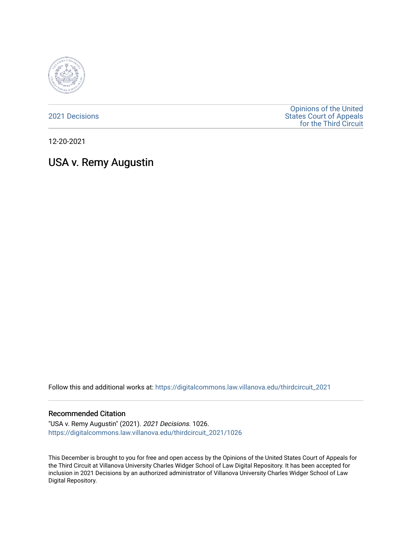

[2021 Decisions](https://digitalcommons.law.villanova.edu/thirdcircuit_2021)

[Opinions of the United](https://digitalcommons.law.villanova.edu/thirdcircuit)  [States Court of Appeals](https://digitalcommons.law.villanova.edu/thirdcircuit)  [for the Third Circuit](https://digitalcommons.law.villanova.edu/thirdcircuit) 

12-20-2021

# USA v. Remy Augustin

Follow this and additional works at: [https://digitalcommons.law.villanova.edu/thirdcircuit\\_2021](https://digitalcommons.law.villanova.edu/thirdcircuit_2021?utm_source=digitalcommons.law.villanova.edu%2Fthirdcircuit_2021%2F1026&utm_medium=PDF&utm_campaign=PDFCoverPages) 

#### Recommended Citation

"USA v. Remy Augustin" (2021). 2021 Decisions. 1026. [https://digitalcommons.law.villanova.edu/thirdcircuit\\_2021/1026](https://digitalcommons.law.villanova.edu/thirdcircuit_2021/1026?utm_source=digitalcommons.law.villanova.edu%2Fthirdcircuit_2021%2F1026&utm_medium=PDF&utm_campaign=PDFCoverPages) 

This December is brought to you for free and open access by the Opinions of the United States Court of Appeals for the Third Circuit at Villanova University Charles Widger School of Law Digital Repository. It has been accepted for inclusion in 2021 Decisions by an authorized administrator of Villanova University Charles Widger School of Law Digital Repository.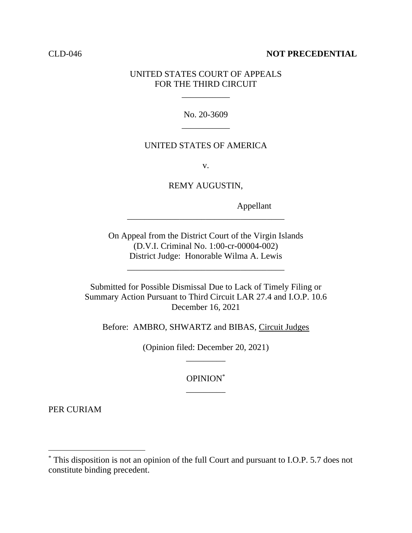### CLD-046 **NOT PRECEDENTIAL**

## UNITED STATES COURT OF APPEALS FOR THE THIRD CIRCUIT

\_\_\_\_\_\_\_\_\_\_\_

No. 20-3609 \_\_\_\_\_\_\_\_\_\_\_

## UNITED STATES OF AMERICA

v.

REMY AUGUSTIN,

Appellant

On Appeal from the District Court of the Virgin Islands (D.V.I. Criminal No. 1:00-cr-00004-002) District Judge: Honorable Wilma A. Lewis

\_\_\_\_\_\_\_\_\_\_\_\_\_\_\_\_\_\_\_\_\_\_\_\_\_\_\_\_\_\_\_\_\_\_\_\_

\_\_\_\_\_\_\_\_\_\_\_\_\_\_\_\_\_\_\_\_\_\_\_\_\_\_\_\_\_\_\_\_\_\_\_\_

Submitted for Possible Dismissal Due to Lack of Timely Filing or Summary Action Pursuant to Third Circuit LAR 27.4 and I.O.P. 10.6 December 16, 2021

Before: AMBRO, SHWARTZ and BIBAS, Circuit Judges

(Opinion filed: December 20, 2021) \_\_\_\_\_\_\_\_\_

> OPINION\* \_\_\_\_\_\_\_\_\_

PER CURIAM

<sup>\*</sup> This disposition is not an opinion of the full Court and pursuant to I.O.P. 5.7 does not constitute binding precedent.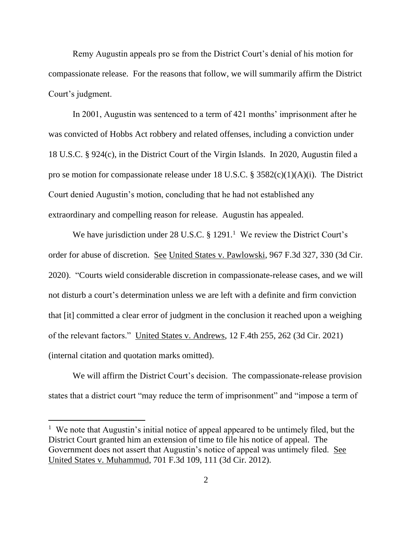Remy Augustin appeals pro se from the District Court's denial of his motion for compassionate release. For the reasons that follow, we will summarily affirm the District Court's judgment.

In 2001, Augustin was sentenced to a term of 421 months' imprisonment after he was convicted of Hobbs Act robbery and related offenses, including a conviction under 18 U.S.C. § 924(c), in the District Court of the Virgin Islands. In 2020, Augustin filed a pro se motion for compassionate release under 18 U.S.C. § 3582(c)(1)(A)(i). The District Court denied Augustin's motion, concluding that he had not established any extraordinary and compelling reason for release. Augustin has appealed.

We have jurisdiction under 28 U.S.C.  $\S 1291$ .<sup>1</sup> We review the District Court's order for abuse of discretion. See United States v. Pawlowski, 967 F.3d 327, 330 (3d Cir. 2020). "Courts wield considerable discretion in compassionate-release cases, and we will not disturb a court's determination unless we are left with a definite and firm conviction that [it] committed a clear error of judgment in the conclusion it reached upon a weighing of the relevant factors." United States v. Andrews, 12 F.4th 255, 262 (3d Cir. 2021) (internal citation and quotation marks omitted).

We will affirm the District Court's decision. The compassionate-release provision states that a district court "may reduce the term of imprisonment" and "impose a term of

<sup>&</sup>lt;sup>1</sup> We note that Augustin's initial notice of appeal appeared to be untimely filed, but the District Court granted him an extension of time to file his notice of appeal. The Government does not assert that Augustin's notice of appeal was untimely filed. See United States v. Muhammud, 701 F.3d 109, 111 (3d Cir. 2012).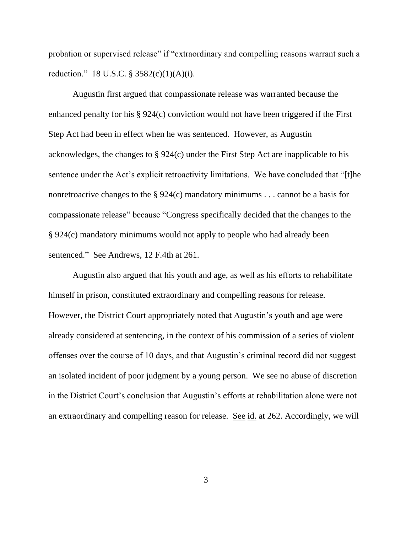probation or supervised release" if "extraordinary and compelling reasons warrant such a reduction." 18 U.S.C. § 3582(c)(1)(A)(i).

Augustin first argued that compassionate release was warranted because the enhanced penalty for his § 924(c) conviction would not have been triggered if the First Step Act had been in effect when he was sentenced. However, as Augustin acknowledges, the changes to § 924(c) under the First Step Act are inapplicable to his sentence under the Act's explicit retroactivity limitations. We have concluded that "[t]he nonretroactive changes to the § 924(c) mandatory minimums . . . cannot be a basis for compassionate release" because "Congress specifically decided that the changes to the § 924(c) mandatory minimums would not apply to people who had already been sentenced." See Andrews, 12 F.4th at 261.

Augustin also argued that his youth and age, as well as his efforts to rehabilitate himself in prison, constituted extraordinary and compelling reasons for release. However, the District Court appropriately noted that Augustin's youth and age were already considered at sentencing, in the context of his commission of a series of violent offenses over the course of 10 days, and that Augustin's criminal record did not suggest an isolated incident of poor judgment by a young person. We see no abuse of discretion in the District Court's conclusion that Augustin's efforts at rehabilitation alone were not an extraordinary and compelling reason for release. See id. at 262. Accordingly, we will

3